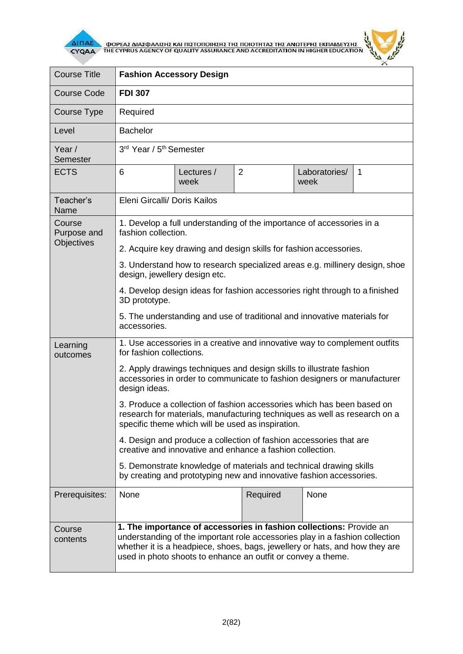

**AITIAE A OOPEAE AIAE DANIEHE KAI TIIETOTOIHEHE THE TOIOTHTAE THE ANOTEPHE EKTIAIAEYEHE** 



| <b>Course Title</b>                        | <b>Fashion Accessory Design</b>                                                                                                                                                                                                                                                                    |                    |                |                       |              |  |
|--------------------------------------------|----------------------------------------------------------------------------------------------------------------------------------------------------------------------------------------------------------------------------------------------------------------------------------------------------|--------------------|----------------|-----------------------|--------------|--|
| <b>Course Code</b>                         | <b>FDI 307</b>                                                                                                                                                                                                                                                                                     |                    |                |                       |              |  |
| Course Type                                | Required                                                                                                                                                                                                                                                                                           |                    |                |                       |              |  |
| Level                                      | <b>Bachelor</b>                                                                                                                                                                                                                                                                                    |                    |                |                       |              |  |
| Year /<br><b>Semester</b>                  | 3rd Year / 5 <sup>th</sup> Semester                                                                                                                                                                                                                                                                |                    |                |                       |              |  |
| <b>ECTS</b>                                | 6                                                                                                                                                                                                                                                                                                  | Lectures /<br>week | $\overline{2}$ | Laboratories/<br>week | $\mathbf{1}$ |  |
| Teacher's<br>Name                          | Eleni Gircalli/ Doris Kailos                                                                                                                                                                                                                                                                       |                    |                |                       |              |  |
| Course<br>Purpose and<br><b>Objectives</b> | 1. Develop a full understanding of the importance of accessories in a<br>fashion collection.                                                                                                                                                                                                       |                    |                |                       |              |  |
|                                            | 2. Acquire key drawing and design skills for fashion accessories.                                                                                                                                                                                                                                  |                    |                |                       |              |  |
|                                            | 3. Understand how to research specialized areas e.g. millinery design, shoe<br>design, jewellery design etc.                                                                                                                                                                                       |                    |                |                       |              |  |
|                                            | 4. Develop design ideas for fashion accessories right through to a finished<br>3D prototype.                                                                                                                                                                                                       |                    |                |                       |              |  |
|                                            | 5. The understanding and use of traditional and innovative materials for<br>accessories.                                                                                                                                                                                                           |                    |                |                       |              |  |
| Learning<br>outcomes                       | 1. Use accessories in a creative and innovative way to complement outfits<br>for fashion collections.                                                                                                                                                                                              |                    |                |                       |              |  |
|                                            | 2. Apply drawings techniques and design skills to illustrate fashion<br>accessories in order to communicate to fashion designers or manufacturer<br>design ideas.                                                                                                                                  |                    |                |                       |              |  |
|                                            | 3. Produce a collection of fashion accessories which has been based on<br>research for materials, manufacturing techniques as well as research on a<br>specific theme which will be used as inspiration.                                                                                           |                    |                |                       |              |  |
|                                            | 4. Design and produce a collection of fashion accessories that are<br>creative and innovative and enhance a fashion collection.                                                                                                                                                                    |                    |                |                       |              |  |
|                                            | 5. Demonstrate knowledge of materials and technical drawing skills<br>by creating and prototyping new and innovative fashion accessories.                                                                                                                                                          |                    |                |                       |              |  |
| Prerequisites:                             | None                                                                                                                                                                                                                                                                                               |                    | Required       | None                  |              |  |
| Course<br>contents                         | 1. The importance of accessories in fashion collections: Provide an<br>understanding of the important role accessories play in a fashion collection<br>whether it is a headpiece, shoes, bags, jewellery or hats, and how they are<br>used in photo shoots to enhance an outfit or convey a theme. |                    |                |                       |              |  |